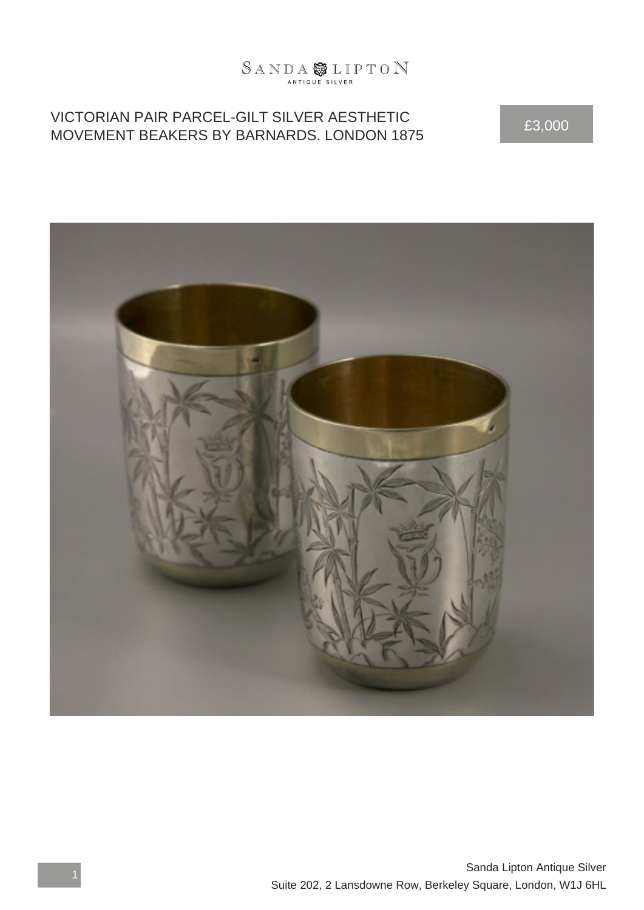## $\begin{array}{l}\mathbb{S}\mathbb{A}\mathbb{N}\mathbb{D}\mathbb{A}\overset{\bullet\bullet}{\bigcirc \bullet}\mathbb{L}\mathbb{I}\mathbb{P}\mathbb{T}\mathbb{O}\mathbb{N}\end{array}$

## VICTORIAN PAIR PARCEL-GILT SILVER AESTHETIC VICTORIAN PAIR PARCEL-GILT SILVER AESTHETIC<br>MOVEMENT BEAKERS BY BARNARDS. LONDON 1875